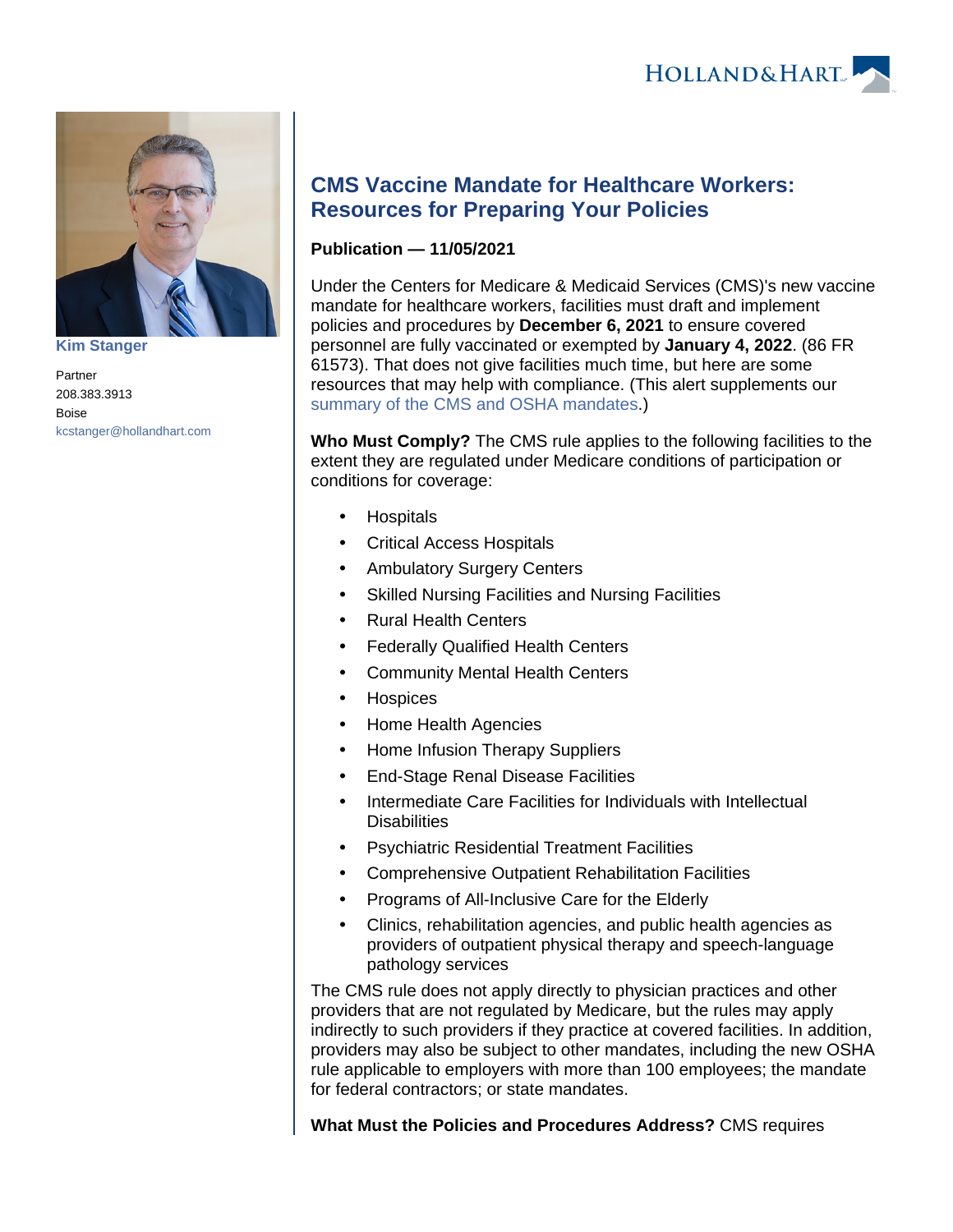



**[Kim Stanger](https://www.hollandhart.com/15954)**

Partner 208.383.3913 Boise [kcstanger@hollandhart.com](mailto:kcstanger@hollandhart.com)

## **CMS Vaccine Mandate for Healthcare Workers: Resources for Preparing Your Policies**

## **Publication — 11/05/2021**

Under the Centers for Medicare & Medicaid Services (CMS)'s new vaccine mandate for healthcare workers, facilities must draft and implement policies and procedures by **December 6, 2021** to ensure covered personnel are fully vaccinated or exempted by **January 4, 2022**. (86 FR 61573). That does not give facilities much time, but here are some resources that may help with compliance. (This alert supplements our [summary of the CMS and OSHA mandates](https://www.hollandhart.com/new-osha-and-cms-covid-19-vaccination-testing-mandates).)

**Who Must Comply?** The CMS rule applies to the following facilities to the extent they are regulated under Medicare conditions of participation or conditions for coverage:

- **Hospitals**
- Critical Access Hospitals
- Ambulatory Surgery Centers
- Skilled Nursing Facilities and Nursing Facilities
- Rural Health Centers
- Federally Qualified Health Centers
- Community Mental Health Centers
- **Hospices**
- Home Health Agencies
- Home Infusion Therapy Suppliers
- End-Stage Renal Disease Facilities
- Intermediate Care Facilities for Individuals with Intellectual **Disabilities**
- Psychiatric Residential Treatment Facilities
- Comprehensive Outpatient Rehabilitation Facilities
- Programs of All-Inclusive Care for the Elderly
- Clinics, rehabilitation agencies, and public health agencies as providers of outpatient physical therapy and speech-language pathology services

The CMS rule does not apply directly to physician practices and other providers that are not regulated by Medicare, but the rules may apply indirectly to such providers if they practice at covered facilities. In addition, providers may also be subject to other mandates, including the new OSHA rule applicable to employers with more than 100 employees; the mandate for federal contractors; or state mandates.

**What Must the Policies and Procedures Address?** CMS requires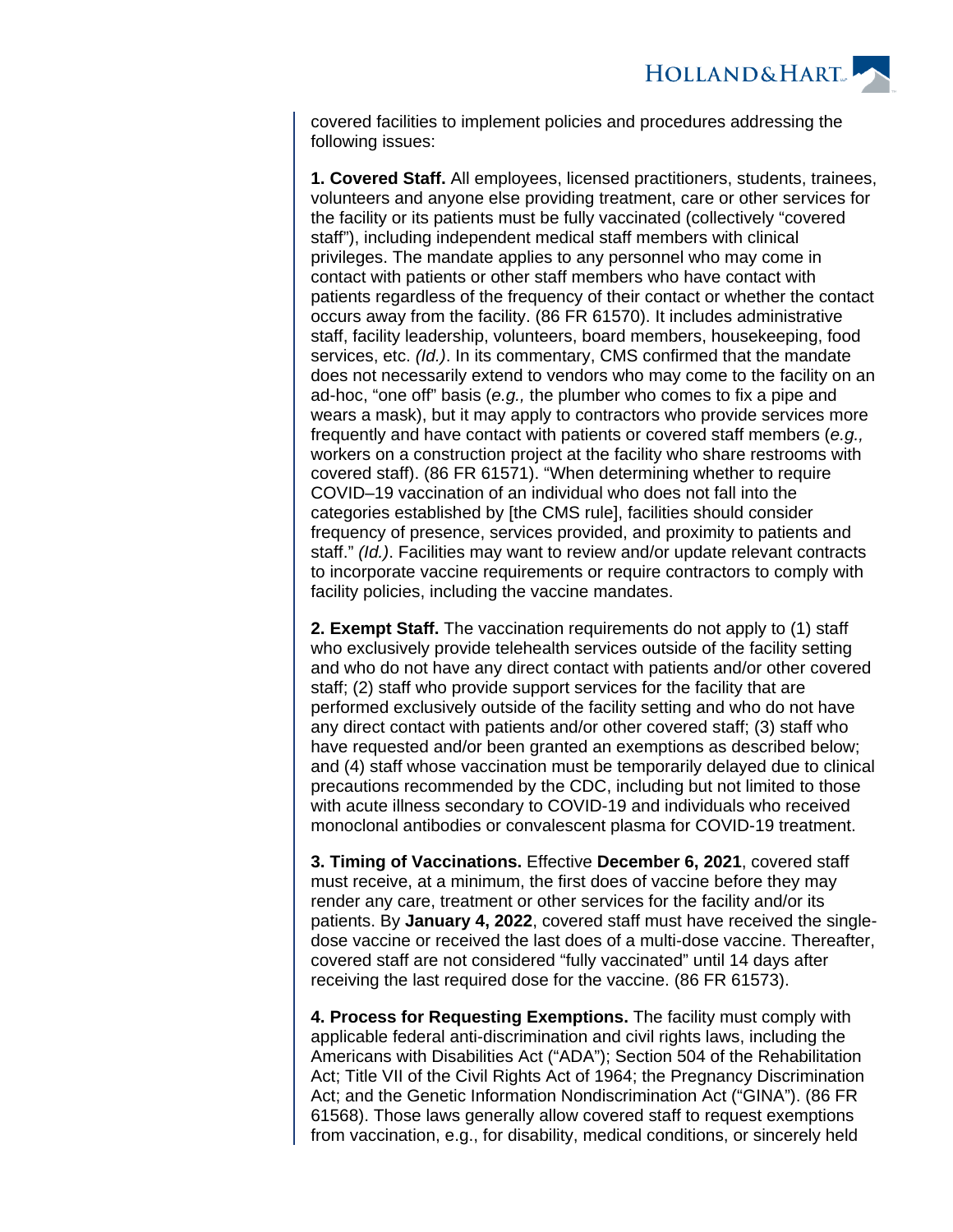

covered facilities to implement policies and procedures addressing the following issues:

**1. Covered Staff.** All employees, licensed practitioners, students, trainees, volunteers and anyone else providing treatment, care or other services for the facility or its patients must be fully vaccinated (collectively "covered staff"), including independent medical staff members with clinical privileges. The mandate applies to any personnel who may come in contact with patients or other staff members who have contact with patients regardless of the frequency of their contact or whether the contact occurs away from the facility. (86 FR 61570). It includes administrative staff, facility leadership, volunteers, board members, housekeeping, food services, etc. (Id.). In its commentary, CMS confirmed that the mandate does not necessarily extend to vendors who may come to the facility on an ad-hoc, "one off" basis (e.g., the plumber who comes to fix a pipe and wears a mask), but it may apply to contractors who provide services more frequently and have contact with patients or covered staff members (e.g., workers on a construction project at the facility who share restrooms with covered staff). (86 FR 61571). "When determining whether to require COVID–19 vaccination of an individual who does not fall into the categories established by [the CMS rule], facilities should consider frequency of presence, services provided, and proximity to patients and staff." (Id.). Facilities may want to review and/or update relevant contracts to incorporate vaccine requirements or require contractors to comply with facility policies, including the vaccine mandates.

**2. Exempt Staff.** The vaccination requirements do not apply to (1) staff who exclusively provide telehealth services outside of the facility setting and who do not have any direct contact with patients and/or other covered staff; (2) staff who provide support services for the facility that are performed exclusively outside of the facility setting and who do not have any direct contact with patients and/or other covered staff; (3) staff who have requested and/or been granted an exemptions as described below; and (4) staff whose vaccination must be temporarily delayed due to clinical precautions recommended by the CDC, including but not limited to those with acute illness secondary to COVID-19 and individuals who received monoclonal antibodies or convalescent plasma for COVID-19 treatment.

**3. Timing of Vaccinations.** Effective **December 6, 2021**, covered staff must receive, at a minimum, the first does of vaccine before they may render any care, treatment or other services for the facility and/or its patients. By **January 4, 2022**, covered staff must have received the singledose vaccine or received the last does of a multi-dose vaccine. Thereafter, covered staff are not considered "fully vaccinated" until 14 days after receiving the last required dose for the vaccine. (86 FR 61573).

**4. Process for Requesting Exemptions.** The facility must comply with applicable federal anti-discrimination and civil rights laws, including the Americans with Disabilities Act ("ADA"); Section 504 of the Rehabilitation Act; Title VII of the Civil Rights Act of 1964; the Pregnancy Discrimination Act; and the Genetic Information Nondiscrimination Act ("GINA"). (86 FR 61568). Those laws generally allow covered staff to request exemptions from vaccination, e.g., for disability, medical conditions, or sincerely held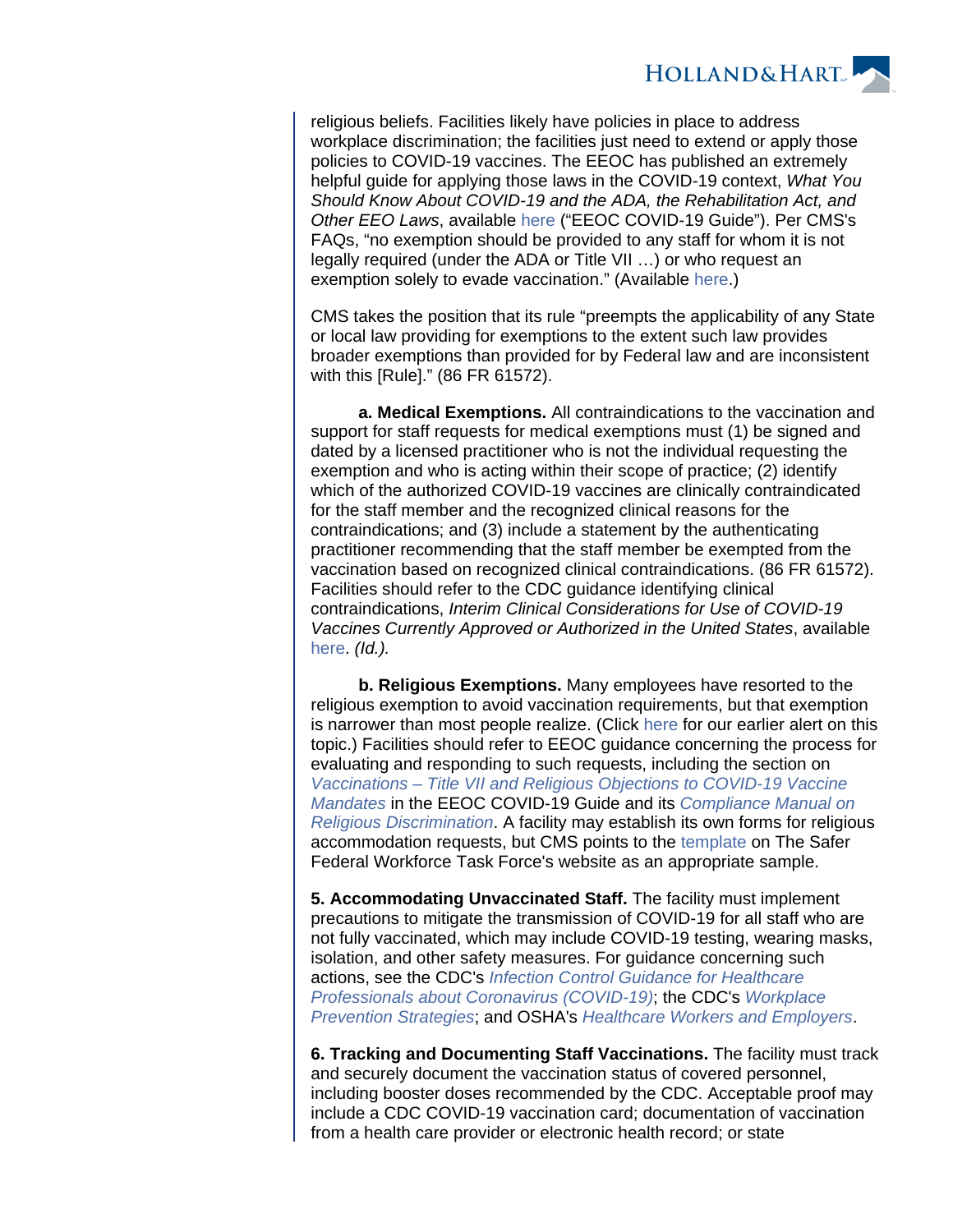

religious beliefs. Facilities likely have policies in place to address workplace discrimination; the facilities just need to extend or apply those policies to COVID-19 vaccines. The EEOC has published an extremely helpful guide for applying those laws in the COVID-19 context, What You Should Know About COVID-19 and the ADA, the Rehabilitation Act, and Other EEO Laws, available [here](https://www.eeoc.gov/wysk/what-you-should-know-about-covid-19-and-ada-rehabilitation-act-and-other-eeo-laws) ("EEOC COVID-19 Guide"). Per CMS's FAQs, "no exemption should be provided to any staff for whom it is not legally required (under the ADA or Title VII …) or who request an exemption solely to evade vaccination." (Available [here](https://www.cms.gov/files/document/cms-omnibus-staff-vax-requirements-2021.pdf).)

CMS takes the position that its rule "preempts the applicability of any State or local law providing for exemptions to the extent such law provides broader exemptions than provided for by Federal law and are inconsistent with this [Rule]." (86 FR 61572).

 **a. Medical Exemptions.** All contraindications to the vaccination and support for staff requests for medical exemptions must (1) be signed and dated by a licensed practitioner who is not the individual requesting the exemption and who is acting within their scope of practice; (2) identify which of the authorized COVID-19 vaccines are clinically contraindicated for the staff member and the recognized clinical reasons for the contraindications; and (3) include a statement by the authenticating practitioner recommending that the staff member be exempted from the vaccination based on recognized clinical contraindications. (86 FR 61572). Facilities should refer to the CDC guidance identifying clinical contraindications, Interim Clinical Considerations for Use of COVID-19 Vaccines Currently Approved or Authorized in the United States, available [here.](https://www.cdc.gov/vaccines/covid-19/clinical-considerations/covid-19-vaccines-us.html) (Id.).

 **b. Religious Exemptions.** Many employees have resorted to the religious exemption to avoid vaccination requirements, but that exemption is narrower than most people realize. (Click [here](https://www.hollandhart.com/eeoc-issues-expanded-guidance-on-religious-objections-to-covid-19-vaccine-mandates) for our earlier alert on this topic.) Facilities should refer to EEOC guidance concerning the process for evaluating and responding to such requests, including the section on [Vaccinations – Title VII and Religious Objections to COVID-19 Vaccine](https://www.eeoc.gov/wysk/what-you-should-know-about-covid-19-and-ada-rehabilitation-act-and-other-eeo-laws#L)  [Mandates](https://www.eeoc.gov/wysk/what-you-should-know-about-covid-19-and-ada-rehabilitation-act-and-other-eeo-laws#L) in the EEOC COVID-19 Guide and its [Compliance Manual on](https://www.eeoc.gov/laws/guidance/section-12-religious-discrimination)  [Religious Discrimination](https://www.eeoc.gov/laws/guidance/section-12-religious-discrimination). A facility may establish its own forms for religious accommodation requests, but CMS points to the [template](https://www.saferfederalworkforce.gov/downloads/RELIGIOUS%2520REQUEST%2520FORM_FINAL%2520REVIEW_20211003%252010.29%252011am.pdf) on The Safer Federal Workforce Task Force's website as an appropriate sample.

**5. Accommodating Unvaccinated Staff.** The facility must implement precautions to mitigate the transmission of COVID-19 for all staff who are not fully vaccinated, which may include COVID-19 testing, wearing masks, isolation, and other safety measures. For guidance concerning such actions, see the CDC's [Infection Control Guidance for Healthcare](https://www.cdc.gov/coronavirus/2019-ncov/hcp/infection-control.html)  [Professionals about Coronavirus \(COVID-19\)](https://www.cdc.gov/coronavirus/2019-ncov/hcp/infection-control.html); the CDC's [Workplace](https://www.cdc.gov/coronavirus/2019-ncov/community/workplaces-businesses/index.html)  [Prevention Strategies](https://www.cdc.gov/coronavirus/2019-ncov/community/workplaces-businesses/index.html); and OSHA's [Healthcare Workers and Employers](https://www.osha.gov/coronavirus/control-prevention/healthcare-workers).

**6. Tracking and Documenting Staff Vaccinations.** The facility must track and securely document the vaccination status of covered personnel, including booster doses recommended by the CDC. Acceptable proof may include a CDC COVID-19 vaccination card; documentation of vaccination from a health care provider or electronic health record; or state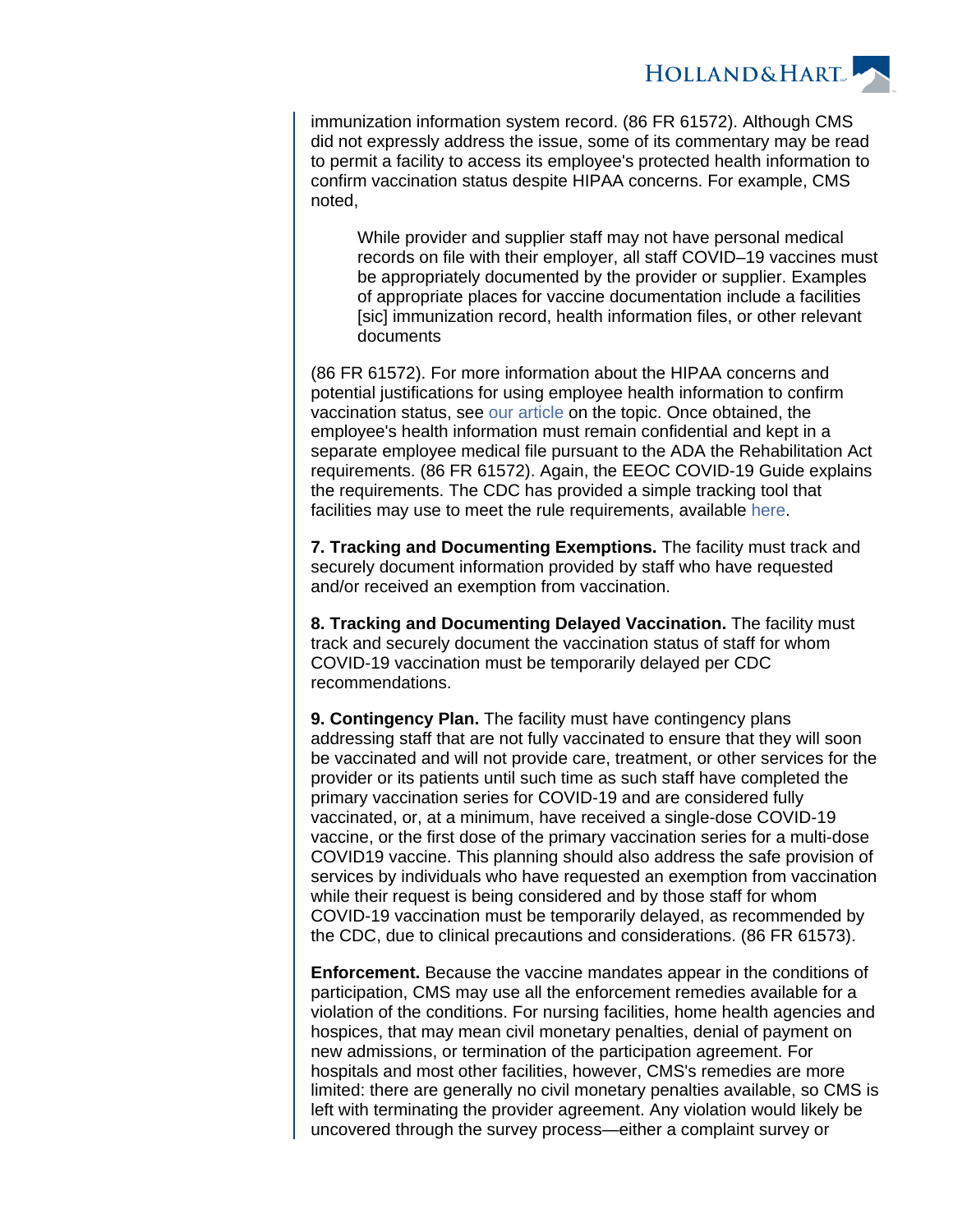

immunization information system record. (86 FR 61572). Although CMS did not expressly address the issue, some of its commentary may be read to permit a facility to access its employee's protected health information to confirm vaccination status despite HIPAA concerns. For example, CMS noted,

While provider and supplier staff may not have personal medical records on file with their employer, all staff COVID–19 vaccines must be appropriately documented by the provider or supplier. Examples of appropriate places for vaccine documentation include a facilities [sic] immunization record, health information files, or other relevant documents

(86 FR 61572). For more information about the HIPAA concerns and potential justifications for using employee health information to confirm vaccination status, see [our article](https://www.hollandhart.com/employee-vaccine-information-privacy-concerns) on the topic. Once obtained, the employee's health information must remain confidential and kept in a separate employee medical file pursuant to the ADA the Rehabilitation Act requirements. (86 FR 61572). Again, the EEOC COVID-19 Guide explains the requirements. The CDC has provided a simple tracking tool that facilities may use to meet the rule requirements, available [here.](https://www.cdc.gov/nhsn/hps/weekly-covid-vac/index.html)

**7. Tracking and Documenting Exemptions.** The facility must track and securely document information provided by staff who have requested and/or received an exemption from vaccination.

**8. Tracking and Documenting Delayed Vaccination.** The facility must track and securely document the vaccination status of staff for whom COVID-19 vaccination must be temporarily delayed per CDC recommendations.

**9. Contingency Plan.** The facility must have contingency plans addressing staff that are not fully vaccinated to ensure that they will soon be vaccinated and will not provide care, treatment, or other services for the provider or its patients until such time as such staff have completed the primary vaccination series for COVID-19 and are considered fully vaccinated, or, at a minimum, have received a single-dose COVID-19 vaccine, or the first dose of the primary vaccination series for a multi-dose COVID19 vaccine. This planning should also address the safe provision of services by individuals who have requested an exemption from vaccination while their request is being considered and by those staff for whom COVID-19 vaccination must be temporarily delayed, as recommended by the CDC, due to clinical precautions and considerations. (86 FR 61573).

**Enforcement.** Because the vaccine mandates appear in the conditions of participation, CMS may use all the enforcement remedies available for a violation of the conditions. For nursing facilities, home health agencies and hospices, that may mean civil monetary penalties, denial of payment on new admissions, or termination of the participation agreement. For hospitals and most other facilities, however, CMS's remedies are more limited: there are generally no civil monetary penalties available, so CMS is left with terminating the provider agreement. Any violation would likely be uncovered through the survey process—either a complaint survey or